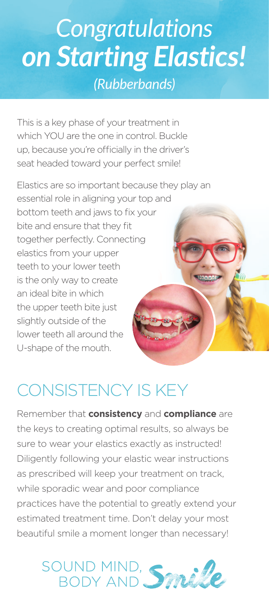# *Congratulations on Starting Elastics! (Rubberbands)*

This is a key phase of your treatment in which YOU are the one in control. Buckle up, because you're officially in the driver's seat headed toward your perfect smile!

Elastics are so important because they play an essential role in aligning your top and bottom teeth and jaws to fix your bite and ensure that they fit together perfectly. Connecting elastics from your upper teeth to your lower teeth is the only way to create an ideal bite in which the upper teeth bite just slightly outside of the lower teeth all around the U-shape of the mouth.

## CONSISTENCY IS KEY

Remember that **consistency** and **compliance** are the keys to creating optimal results, so always be sure to wear your elastics exactly as instructed! Diligently following your elastic wear instructions as prescribed will keep your treatment on track, while sporadic wear and poor compliance practices have the potential to greatly extend your estimated treatment time. Don't delay your most beautiful smile a moment longer than necessary!